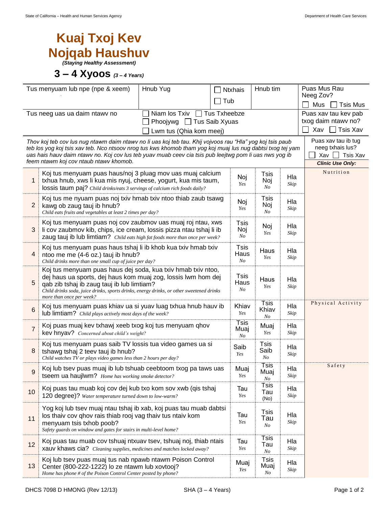## **Kuaj Txoj Kev Nojqab Haushuv**

*(Staying Healthy Assessment)*

## **3 – 4 Xyoos** *(3 – 4 Years)*

| Tus menyuam lub npe (npe & xeem)                                                |                                                                                                                                                             | Hnub Yug                                        | <b>Ntxhais</b>               | Hnub tim            |             | Puas Mus Rau<br>Neeg Zov? |  |  |  |
|---------------------------------------------------------------------------------|-------------------------------------------------------------------------------------------------------------------------------------------------------------|-------------------------------------------------|------------------------------|---------------------|-------------|---------------------------|--|--|--|
|                                                                                 |                                                                                                                                                             |                                                 | Tub                          |                     |             | Mus<br>Tsis Mus           |  |  |  |
|                                                                                 | Tus neeg uas ua daim ntawy no                                                                                                                               | Phoojywg □ Tus Saib Xyuas                       | Niam los Txiv □ Tus Txheebze |                     |             | Puas xav tau kev pab      |  |  |  |
|                                                                                 |                                                                                                                                                             | txog daim ntawv no?<br>$\sqcap$ Tsis Xav<br>Xav |                              |                     |             |                           |  |  |  |
|                                                                                 | Lwm tus (Qhia kom meej)<br>Puas xav tau ib tug<br>Thov koj teb cov lus nug ntawm daim ntawv no li uas koj teb tau. Khij vojvoos rau "Hla" yog koj tsis paub |                                                 |                              |                     |             |                           |  |  |  |
|                                                                                 | teb los yog koj tsis xav teb. Nco ntsoov nrog tus kws khomob tham yog koj muaj lus nug dabtsi txog tej yam                                                  | neeg txhais lus?                                |                              |                     |             |                           |  |  |  |
|                                                                                 | uas hais hauv daim ntawv no. Koj cov lus teb yuav muab ceev cia tsis pub leejtwg pom li uas nws yog ib<br>feem ntawm koj cov ntaub ntawv khomob.            | Xav<br>Tsis Xav<br><b>Clinic Use Only:</b>      |                              |                     |             |                           |  |  |  |
| Nutrition<br>Koj tus menyuam puas haus/noj 3 pluag mov uas muaj calcium<br>Tsis |                                                                                                                                                             |                                                 |                              |                     |             |                           |  |  |  |
| txhua hnub, xws li kua mis nyuj, cheese, yogurt, kua mis taum,<br>1             |                                                                                                                                                             |                                                 | Noj<br>Yes                   | Noj                 | Hla<br>Skip |                           |  |  |  |
|                                                                                 | lossis taum paj? Child drinks/eats 3 servings of calcium rich foods daily?                                                                                  |                                                 |                              | No                  |             |                           |  |  |  |
| $\overline{2}$                                                                  | Koj tus me nyuam puas noj txiv hmab txiv ntoo thiab zaub tsawg<br>kawg ob zaug tauj ib hnub?                                                                | Noj<br>Yes                                      | Tsis<br>Noj                  | Hla                 |             |                           |  |  |  |
|                                                                                 | Child eats fruits and vegetables at least 2 times per day?                                                                                                  |                                                 |                              | No                  | Skip        |                           |  |  |  |
| 3                                                                               | Koj tus menyuam puas noj cov zaubmov uas muaj roj ntau, xws<br>li cov zaubmov kib, chips, ice cream, lossis pizza ntau tshaj li ib                          |                                                 | Tsis<br>Noj                  | Noj                 | Hla         |                           |  |  |  |
|                                                                                 | zaug tauj ib lub limtiam? Child eats high fat foods more than once per week?                                                                                |                                                 | No                           | Yes                 | Skip        |                           |  |  |  |
|                                                                                 | Koj tus menyuam puas haus tshaj li ib khob kua txiv hmab txiv                                                                                               |                                                 | Tsis                         | Haus                | Hla         |                           |  |  |  |
| 4                                                                               | ntoo me me (4-6 oz.) tauj ib hnub?<br>Child drinks more than one small cup of juice per day?                                                                |                                                 | Haus<br>No                   | Yes                 | Skip        |                           |  |  |  |
|                                                                                 | Koj tus menyuam puas haus dej soda, kua txiv hmab txiv ntoo,                                                                                                |                                                 |                              |                     |             |                           |  |  |  |
| 5                                                                               | dej haus ua sports, dej haus kom muaj zog, lossis lwm hom dej<br>qab zib tshaj ib zaug tauj ib lub limtiam?                                                 |                                                 | Tsis<br>Haus                 | Haus                | Hla         |                           |  |  |  |
|                                                                                 | Child drinks soda, juice drinks, sports drinks, energy drinks, or other sweetened drinks                                                                    |                                                 | $N_{O}$                      | Yes                 | Skip        |                           |  |  |  |
|                                                                                 | more than once per week?                                                                                                                                    |                                                 | Khiav                        | <b>Tsis</b>         | Hla         | Physical Activity         |  |  |  |
| $6\phantom{1}6$                                                                 | Koj tus menyuam puas khiav ua si yuav luag txhua hnub hauv ib<br>lub limtiam? Child plays actively most days of the week?                                   |                                                 |                              | Khiav<br>Yes<br>No  | Skip        |                           |  |  |  |
| $\overline{7}$                                                                  | Koj puas muaj kev txhawj xeeb txog koj tus menyuam qhov                                                                                                     |                                                 | Tsis<br>Muaj                 | Muaj                | Hla         |                           |  |  |  |
|                                                                                 | kev hnyav? Concerned about child's weight?                                                                                                                  |                                                 | No                           | Yes                 | Skip        |                           |  |  |  |
| 8                                                                               | Koj tus menyuam puas saib TV lossis tua video games ua si<br>tshawg tshaj 2 teev tauj ib hnub?                                                              |                                                 | Saib                         | <b>Tsis</b><br>Saib | Hla         |                           |  |  |  |
|                                                                                 | Child watches TV or plays video games less than 2 hours per day?                                                                                            |                                                 | Yes                          | N <sub>O</sub>      | Skip        |                           |  |  |  |
| 9                                                                               | Koj lub tsev puas muaj ib lub tshuab ceebtoom txog pa taws uas                                                                                              |                                                 | Muaj                         | Tsis<br>Muaj        | Hla         | Safety                    |  |  |  |
|                                                                                 | tseem ua haujlwm? Home has working smoke detector?                                                                                                          |                                                 | Yes                          | No                  | Skip        |                           |  |  |  |
| 10 <sub>1</sub>                                                                 | Koj puas tau muab koj cov dej kub txo kom sov xwb (qis tshaj                                                                                                |                                                 | Tau                          | Tsis<br>Tau         | Hla         |                           |  |  |  |
|                                                                                 | 120 degree)? Water temperature turned down to low-warm?                                                                                                     |                                                 | Yes                          | (No)                | Skip        |                           |  |  |  |
|                                                                                 | Yog koj lub tsev muaj ntau tshaj ib xab, koj puas tau muab dabtsi<br>los thaiv cov qhov rais thiab rooj vag thaiv tus ntaiv kom                             |                                                 | Tau                          | Tsis                | Hla         |                           |  |  |  |
| 11                                                                              | menyuam tsis txhob poob?                                                                                                                                    |                                                 | Yes                          | Tau<br>No           | Skip        |                           |  |  |  |
|                                                                                 | Safety guards on window and gates for stairs in multi-level home?                                                                                           |                                                 |                              | Tsis                |             |                           |  |  |  |
| 12                                                                              | Koj puas tau muab cov tshuaj ntxuav tsev, tshuaj noj, thiab ntais<br>xauv khaws cia? Cleaning supplies, medicines and matches locked away?                  | Tau<br>Yes                                      | Tau                          | Hla<br>Skip         |             |                           |  |  |  |
|                                                                                 | Koj lub tsev puas muaj tus nab npawb ntawm Poison Control                                                                                                   |                                                 |                              | No<br>Tsis          |             |                           |  |  |  |
| 13                                                                              | Center (800-222-1222) lo ze ntawm lub xovtooj?                                                                                                              |                                                 | Muaj<br>Yes                  | Muaj                | Hla<br>Skip |                           |  |  |  |
|                                                                                 | Home has phone # of the Poison Control Center posted by phone?                                                                                              |                                                 |                              | No                  |             |                           |  |  |  |